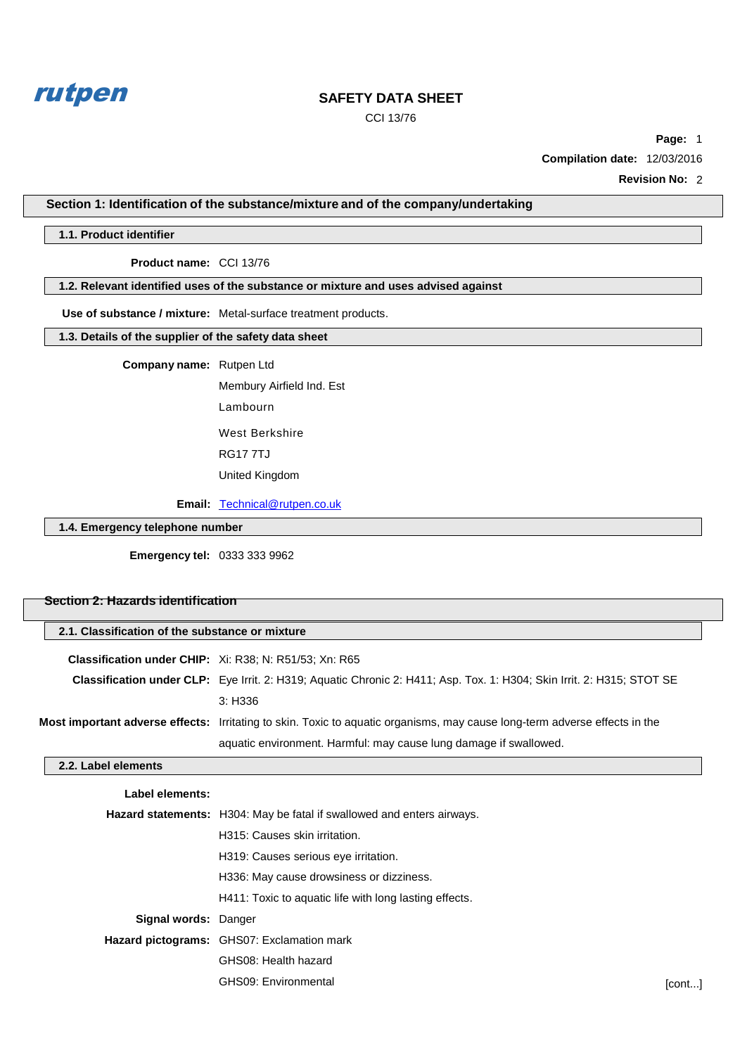

CCI 13/76

**Page:** 1 **Compilation date:** 12/03/2016

**Revision No:** 2

**Section 1: Identification of the substance/mixture and of the company/undertaking**

#### **1.1. Product identifier**

**Product name:** CCI 13/76

**1.2. Relevant identified uses of the substance or mixture and uses advised against**

**Use of substance / mixture:** Metal-surface treatment products.

# **1.3. Details of the supplier of the safety data sheet**

**Company name:** Rutpen Ltd

Membury Airfield Ind. Est Lambourn West Berkshire RG17 7TJ

United Kingdom

**Email:** [Technical@rutpen.co.uk](mailto:Technical@rutpen.co.uk)

**1.4. Emergency telephone number**

**Emergency tel:** 0333 333 9962

# **Section 2: Hazards identification**

| 2.1. Classification of the substance or mixture |                                                                                                                               |  |
|-------------------------------------------------|-------------------------------------------------------------------------------------------------------------------------------|--|
|                                                 | <b>Classification under CHIP:</b> Xi: R38; N: R51/53; Xn: R65                                                                 |  |
|                                                 | <b>Classification under CLP:</b> Eye Irrit. 2: H319: Aquatic Chronic 2: H411: Asp. Tox. 1: H304: Skin Irrit. 2: H315: STOT SE |  |
|                                                 | 3: H336                                                                                                                       |  |
|                                                 | Most important adverse effects: Irritating to skin. Toxic to aquatic organisms, may cause long-term adverse effects in the    |  |
|                                                 | aquatic environment. Harmful: may cause lung damage if swallowed.                                                             |  |

#### **2.2. Label elements**

| Label elements:             |                                                                               |        |
|-----------------------------|-------------------------------------------------------------------------------|--------|
|                             | <b>Hazard statements:</b> H304: May be fatal if swallowed and enters airways. |        |
|                             | H315: Causes skin irritation.                                                 |        |
|                             | H319: Causes serious eye irritation.                                          |        |
|                             | H336: May cause drowsiness or dizziness.                                      |        |
|                             | H411: Toxic to aquatic life with long lasting effects.                        |        |
| <b>Signal words: Danger</b> |                                                                               |        |
|                             | Hazard pictograms: GHS07: Exclamation mark                                    |        |
|                             | GHS08: Health hazard                                                          |        |
|                             | GHS09: Environmental                                                          | [cont] |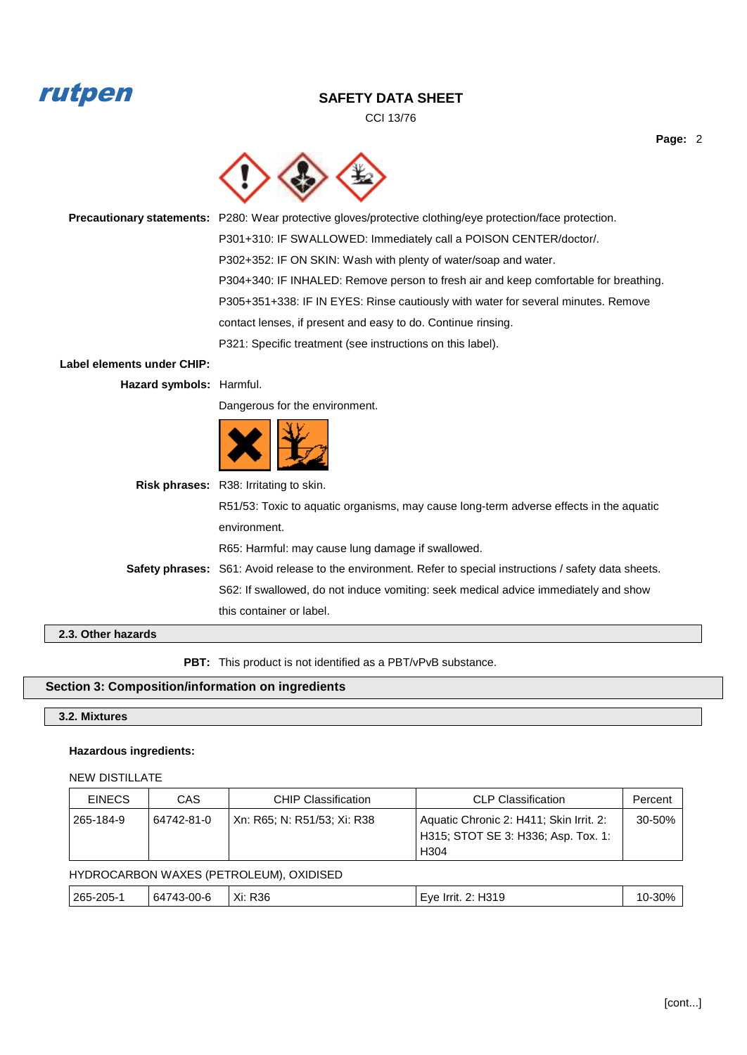# rutpen

# **SAFETY DATA SHEET**

CCI 13/76



**Precautionary statements:** P280: Wear protective gloves/protective clothing/eye protection/face protection. P301+310: IF SWALLOWED: Immediately call a POISON CENTER/doctor/. P302+352: IF ON SKIN: Wash with plenty of water/soap and water. P304+340: IF INHALED: Remove person to fresh air and keep comfortable for breathing. P305+351+338: IF IN EYES: Rinse cautiously with water for several minutes. Remove contact lenses, if present and easy to do. Continue rinsing. P321: Specific treatment (see instructions on this label).

# **Label elements under CHIP:**

**Hazard symbols:** Harmful.

Dangerous for the environment.



| <b>Risk phrases:</b> R38: Irritating to skin.                                                              |
|------------------------------------------------------------------------------------------------------------|
| R51/53: Toxic to aguatic organisms, may cause long-term adverse effects in the aguatic                     |
| environment.                                                                                               |
| R65: Harmful: may cause lung damage if swallowed.                                                          |
| Safety phrases: S61: Avoid release to the environment. Refer to special instructions / safety data sheets. |
| S62: If swallowed, do not induce vomiting: seek medical advice immediately and show                        |
| this container or label.                                                                                   |
|                                                                                                            |

**2.3. Other hazards**

PBT: This product is not identified as a PBT/vPvB substance.

# **Section 3: Composition/information on ingredients**

# **3.2. Mixtures**

### **Hazardous ingredients:**

#### NEW DISTILLATE

| <b>EINECS</b> | CAS        | <b>CHIP Classification</b>  | <b>CLP Classification</b>                                                                          | Percent |
|---------------|------------|-----------------------------|----------------------------------------------------------------------------------------------------|---------|
| 265-184-9     | 64742-81-0 | Xn: R65: N: R51/53: Xi: R38 | Aquatic Chronic 2: H411; Skin Irrit. 2:<br>H315; STOT SE 3: H336; Asp. Tox. 1:<br>H <sub>304</sub> | 30-50%  |

### HYDROCARBON WAXES (PETROLEUM), OXIDISED

|  | 265-205- | 00-6<br>64<br>74.<br>3-L | R36<br>Xi:<br>$\sim$ $\sim$ | -1310<br><b>HVA</b><br>٠.<br><b>Irrit</b><br>5 1 ט |  |
|--|----------|--------------------------|-----------------------------|----------------------------------------------------|--|
|--|----------|--------------------------|-----------------------------|----------------------------------------------------|--|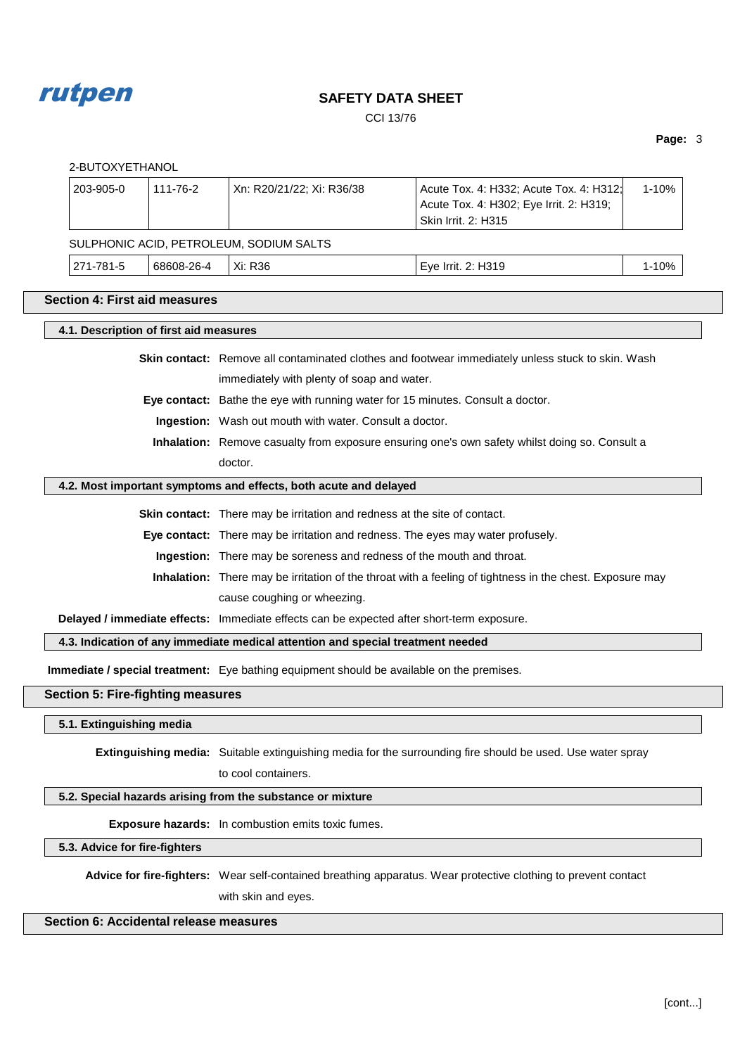

CCI 13/76

# **Page:** 3

| 1-10%                                                                                                                                      |  |  |  |
|--------------------------------------------------------------------------------------------------------------------------------------------|--|--|--|
|                                                                                                                                            |  |  |  |
|                                                                                                                                            |  |  |  |
| 1-10%                                                                                                                                      |  |  |  |
|                                                                                                                                            |  |  |  |
|                                                                                                                                            |  |  |  |
| Skin contact: Remove all contaminated clothes and footwear immediately unless stuck to skin. Wash                                          |  |  |  |
|                                                                                                                                            |  |  |  |
|                                                                                                                                            |  |  |  |
| Eye contact: Bathe the eye with running water for 15 minutes. Consult a doctor.<br>Ingestion: Wash out mouth with water. Consult a doctor. |  |  |  |
| Inhalation: Remove casualty from exposure ensuring one's own safety whilst doing so. Consult a                                             |  |  |  |
| doctor.                                                                                                                                    |  |  |  |
| 4.2. Most important symptoms and effects, both acute and delayed                                                                           |  |  |  |
| <b>Skin contact:</b> There may be irritation and redness at the site of contact.                                                           |  |  |  |
| Eye contact: There may be irritation and redness. The eyes may water profusely.                                                            |  |  |  |
| Ingestion: There may be soreness and redness of the mouth and throat.                                                                      |  |  |  |
| Inhalation: There may be irritation of the throat with a feeling of tightness in the chest. Exposure may                                   |  |  |  |
| cause coughing or wheezing.                                                                                                                |  |  |  |
| Delayed / immediate effects: Immediate effects can be expected after short-term exposure.                                                  |  |  |  |
| 4.3. Indication of any immediate medical attention and special treatment needed                                                            |  |  |  |
| Immediate / special treatment: Eye bathing equipment should be available on the premises.                                                  |  |  |  |
|                                                                                                                                            |  |  |  |
|                                                                                                                                            |  |  |  |
| Extinguishing media: Suitable extinguishing media for the surrounding fire should be used. Use water spray                                 |  |  |  |
|                                                                                                                                            |  |  |  |
|                                                                                                                                            |  |  |  |
| 5.2. Special hazards arising from the substance or mixture<br>Exposure hazards: In combustion emits toxic fumes.                           |  |  |  |
|                                                                                                                                            |  |  |  |
|                                                                                                                                            |  |  |  |
| Advice for fire-fighters: Wear self-contained breathing apparatus. Wear protective clothing to prevent contact                             |  |  |  |
|                                                                                                                                            |  |  |  |

# **Section 6: Accidental release measures**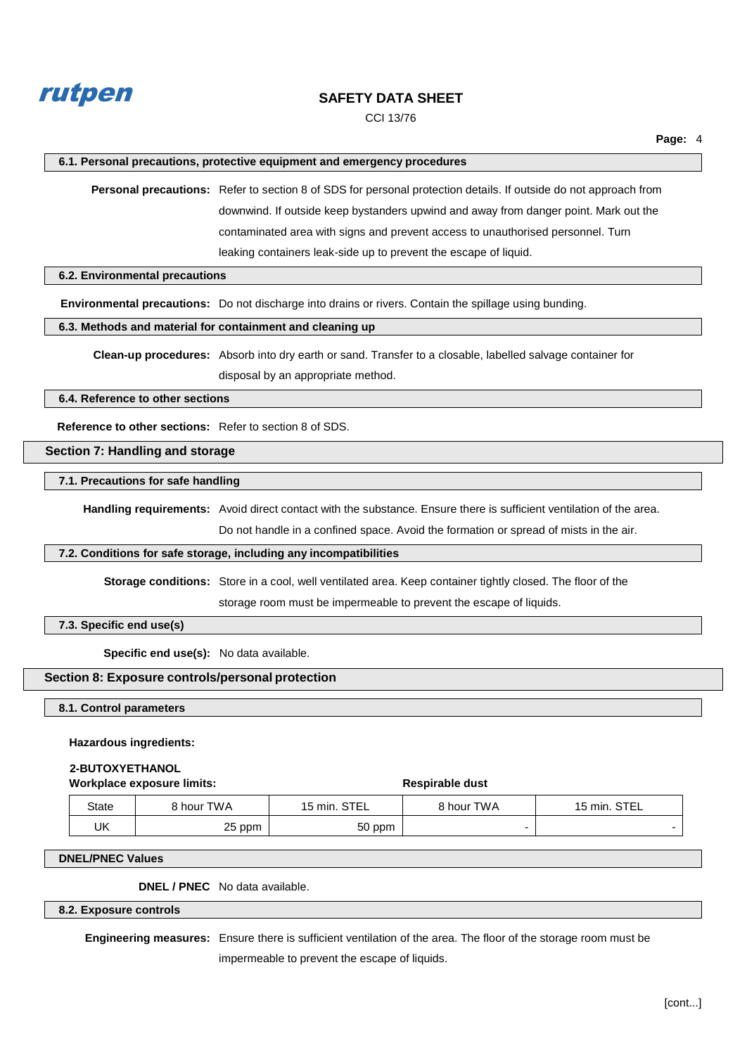

CCI 13/76

#### **6.1. Personal precautions, protective equipment and emergency procedures**

**Personal precautions:** Refer to section 8 of SDS for personal protection details. If outside do not approach from downwind. If outside keep bystanders upwind and away from danger point. Mark out the contaminated area with signs and prevent access to unauthorised personnel. Turn leaking containers leak-side up to prevent the escape of liquid.

#### **6.2. Environmental precautions**

**Environmental precautions:** Do not discharge into drains or rivers. Contain the spillage using bunding.

#### **6.3. Methods and material for containment and cleaning up**

**Clean-up procedures:** Absorb into dry earth or sand. Transfer to a closable, labelled salvage container for disposal by an appropriate method.

**6.4. Reference to other sections**

**Reference to other sections:** Refer to section 8 of SDS.

# **Section 7: Handling and storage**

**7.1. Precautions for safe handling**

**Handling requirements:** Avoid direct contact with the substance. Ensure there is sufficient ventilation of the area.

Do not handle in a confined space. Avoid the formation or spread of mists in the air.

#### **7.2. Conditions for safe storage, including any incompatibilities**

**Storage conditions:** Store in a cool, well ventilated area. Keep container tightly closed. The floor of the

storage room must be impermeable to prevent the escape of liquids.

**7.3. Specific end use(s)**

**Specific end use(s):** No data available.

### **Section 8: Exposure controls/personal protection**

**8.1. Control parameters**

#### **Hazardous ingredients:**

#### **2-BUTOXYETHANOL**

#### **Workplace exposure limits:**  $\qquad \qquad$  **Respirable dust**

| State | 8 hour TWA | 15 min. STEL | <b>8 hour TWA</b> | 15 min. STEL |
|-------|------------|--------------|-------------------|--------------|
| UK    | 25 ppm     | 50 ppm       |                   |              |

#### **DNEL/PNEC Values**

**DNEL / PNEC** No data available.

#### **8.2. Exposure controls**

**Engineering measures:** Ensure there is sufficient ventilation of the area. The floor of the storage room must be impermeable to prevent the escape of liquids.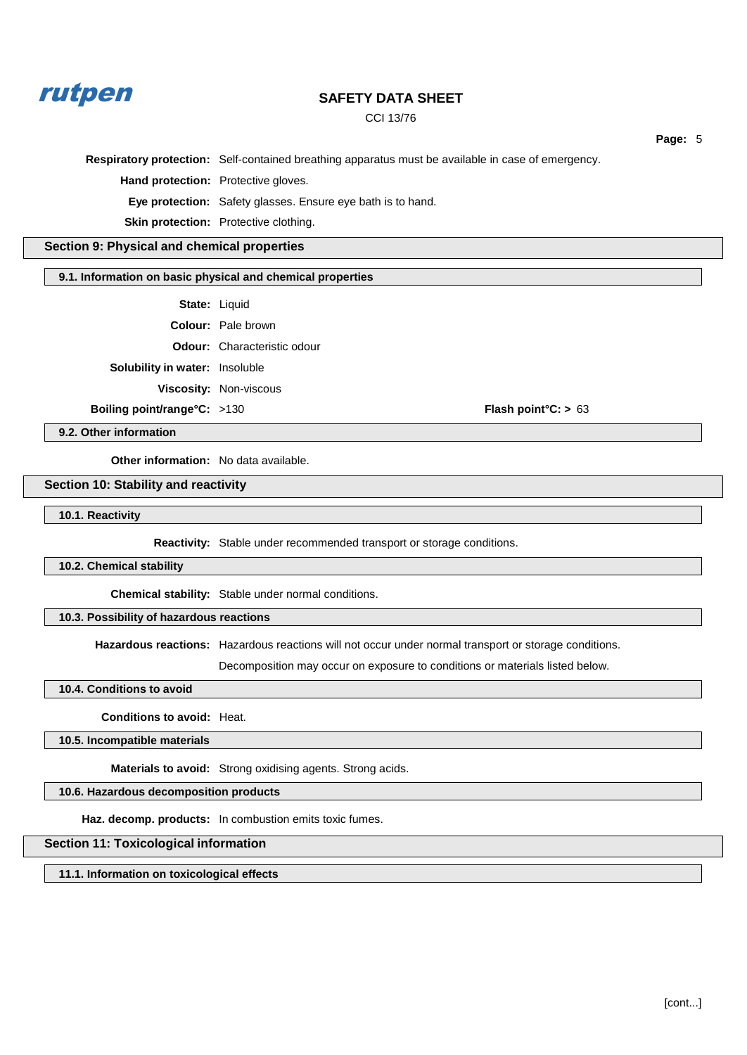

CCI 13/76

**Page:** 5 **Respiratory protection:** Self-contained breathing apparatus must be available in case of emergency. **Hand protection:** Protective gloves. **Eye protection:** Safety glasses. Ensure eye bath is to hand. **Skin protection:** Protective clothing. **Section 9: Physical and chemical properties 9.1. Information on basic physical and chemical properties State:** Liquid **Colour:** Pale brown **Odour:** Characteristic odour **Solubility in water:** Insoluble **Viscosity:** Non-viscous **Boiling point/range°C:** >130 **Flash point°C: >** 63

**9.2. Other information**

**Other information:** No data available.

# **Section 10: Stability and reactivity**

**10.1. Reactivity**

**Reactivity:** Stable under recommended transport or storage conditions.

#### **10.2. Chemical stability**

**Chemical stability:** Stable under normal conditions.

# **10.3. Possibility of hazardous reactions**

**Hazardous reactions:** Hazardous reactions will not occur under normal transport or storage conditions.

Decomposition may occur on exposure to conditions or materials listed below.

#### **10.4. Conditions to avoid**

**Conditions to avoid:** Heat.

**10.5. Incompatible materials**

**Materials to avoid:** Strong oxidising agents. Strong acids.

# **10.6. Hazardous decomposition products**

**Haz. decomp. products:** In combustion emits toxic fumes.

# **Section 11: Toxicological information**

**11.1. Information on toxicological effects**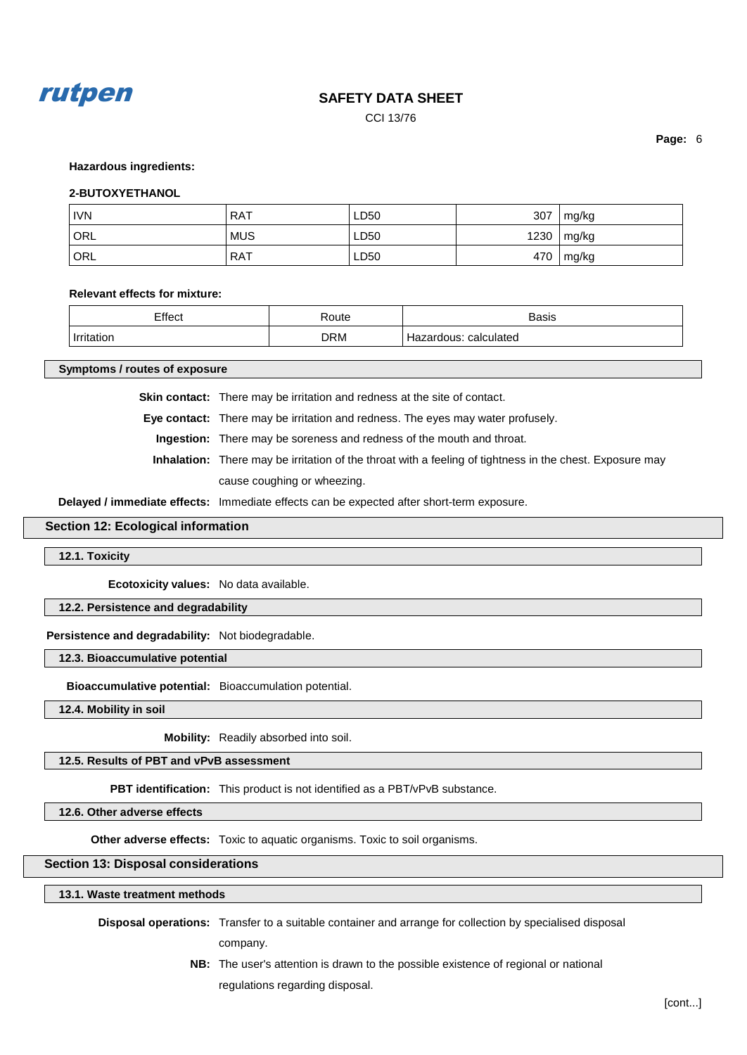

CCI 13/76

**Page:** 6

#### **Hazardous ingredients:**

#### **2-BUTOXYETHANOL**

| <b>IVN</b> | <b>RAT</b> | LD50 | 307  | mg/kg |
|------------|------------|------|------|-------|
| <b>ORL</b> | <b>MUS</b> | LD50 | 1230 | mg/kg |
| ORL        | <b>RAT</b> | LD50 | 470  | mg/kg |

#### **Relevant effects for mixture:**

| ∙ffoot<br>____ | י†ו ורי<br>. | <b>Dooin</b><br>בוכסכ<br>. |
|----------------|--------------|----------------------------|
| .              | ר ORM        | $\sim$<br>later            |

**Symptoms / routes of exposure**

**Skin contact:** There may be irritation and redness at the site of contact.

**Eye contact:** There may be irritation and redness. The eyes may water profusely.

**Ingestion:** There may be soreness and redness of the mouth and throat.

**Inhalation:** There may be irritation of the throat with a feeling of tightness in the chest. Exposure may cause coughing or wheezing.

**Delayed / immediate effects:** Immediate effects can be expected after short-term exposure.

#### **Section 12: Ecological information**

**12.1. Toxicity**

**Ecotoxicity values:** No data available.

**12.2. Persistence and degradability**

**Persistence and degradability:** Not biodegradable.

**12.3. Bioaccumulative potential**

**Bioaccumulative potential:** Bioaccumulation potential.

**12.4. Mobility in soil**

**Mobility:** Readily absorbed into soil.

**12.5. Results of PBT and vPvB assessment**

**PBT identification:** This product is not identified as a PBT/vPvB substance.

**12.6. Other adverse effects**

**Other adverse effects:** Toxic to aquatic organisms. Toxic to soil organisms.

**Section 13: Disposal considerations**

**13.1. Waste treatment methods**

**Disposal operations:** Transfer to a suitable container and arrange for collection by specialised disposal company.

> **NB:** The user's attention is drawn to the possible existence of regional or national regulations regarding disposal.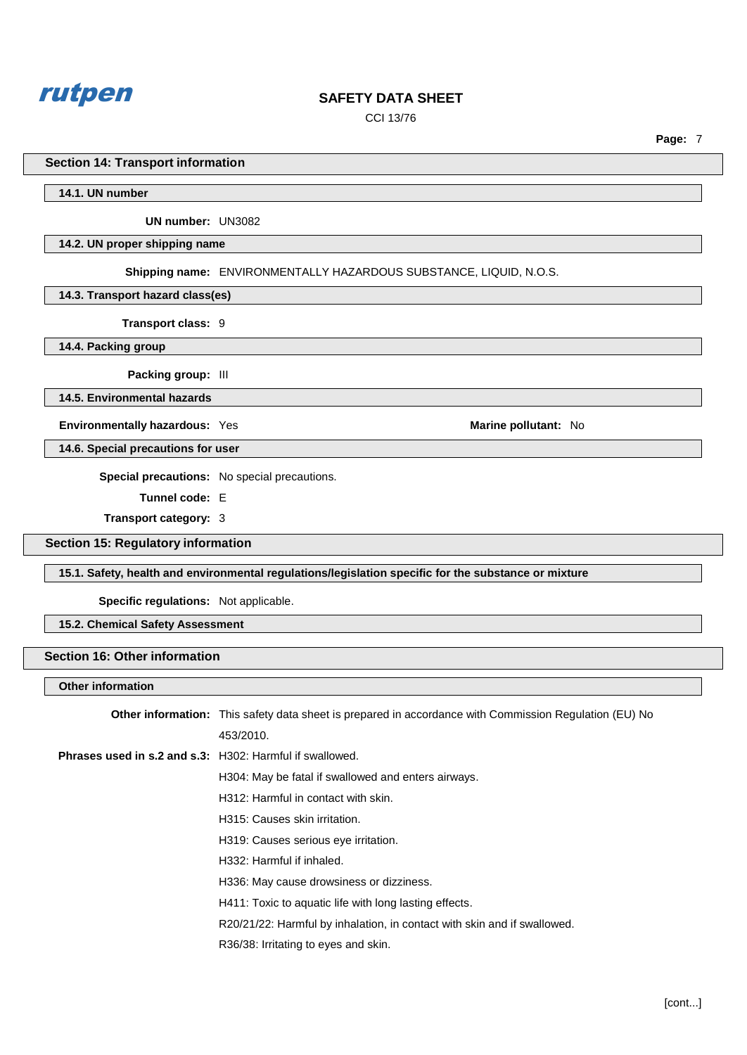

CCI 13/76

**Page:** 7

#### **Section 14: Transport information**

**14.1. UN number**

**UN number:** UN3082

#### **14.2. UN proper shipping name**

**Shipping name:** ENVIRONMENTALLY HAZARDOUS SUBSTANCE, LIQUID, N.O.S.

**14.3. Transport hazard class(es)**

**Transport class:** 9

**14.4. Packing group**

**Packing group:** III

**14.5. Environmental hazards**

**Environmentally hazardous:** Yes **Marine pollutant: No Marine pollutant: No** 

**14.6. Special precautions for user**

**Special precautions:** No special precautions.

**Tunnel code:** E

**Transport category:** 3

**Section 15: Regulatory information**

**15.1. Safety, health and environmental regulations/legislation specific for the substance or mixture**

**Specific regulations:** Not applicable.

**15.2. Chemical Safety Assessment**

# **Section 16: Other information**

**Other information**

| <b>Other information:</b> This safety data sheet is prepared in accordance with Commission Regulation (EU) No |
|---------------------------------------------------------------------------------------------------------------|
| 453/2010.                                                                                                     |
| <b>Phrases used in s.2 and s.3: H302: Harmful if swallowed.</b>                                               |
| H304: May be fatal if swallowed and enters airways.                                                           |
| H312: Harmful in contact with skin.                                                                           |
| H315: Causes skin irritation.                                                                                 |
| H319: Causes serious eye irritation.                                                                          |
| H332: Harmful if inhaled.                                                                                     |
| H336: May cause drowsiness or dizziness.                                                                      |
| H411: Toxic to aquatic life with long lasting effects.                                                        |
| R20/21/22: Harmful by inhalation, in contact with skin and if swallowed.                                      |
| R36/38: Irritating to eyes and skin.                                                                          |
|                                                                                                               |